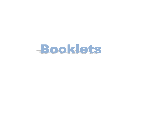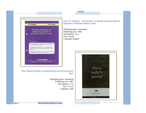**Booklets Booklets** 



Title: Hudood Ordinance ka Mansookh kia jana Kiyoon Zarori Hey?

> Publishing place: Islamabad Publishing year: 2003 Descriptions: 17 p Size: 7.5x11 Language: Urdu

Title: No Tokenism – No Eyewash: we demand strong and effective legislation to eliminate Honour Crimes

Publishing place: Islamabad Publishing year: 2004 Descriptions: 22 p Size: 6.5x8.5 Language: English

حدود آرڈیننسز<br>کا منسوخ کیا جانا<br>کیوں ضروری ہے **B** عورت فاؤنڈيش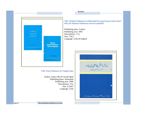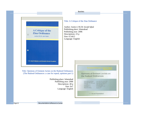

**Booklets Booklets** 

## Title: A Critique of the Zina Ordinance

Author: Justice ( R) Dr Javaid Iqbal Publishing place: Islamabad Publishing year: 2006 Descriptions: 23 p Size: 6.5x8.5 Language: English

Title: Opinions of Eminent Jurists on the Hudood Ordinances (The Hudood Ordinances: a case for repeal, opinions part 1)

> Publishing place: Islamabad Publishing year: 2006 Descriptions: 40 p Size: 9x7 Language: English

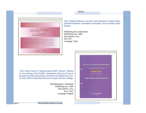حدودآرڈیننس کے بارےمیں<br>دانشورطبقہ کی رائے احمد يم قامى، ذا كم انورسچاد جسن عابدى، تهيداختر، ذا كم مبارك يلى، ذا كم طارق رحمان، ميرجيل الرطمن ، غازى صلاح الدين، زبيده مصطفى ، حسين فقى، اصغرنديم سيد، حسينه عين، كشورنا بيد، فخر زمان فبسيد ورياض، حسن شار: مستنصر جاويد، زابود ويس فريد من مستند مع مستند من مرضوري، .<br>فردوس حيدر، تصدق سيل، ناميدرضا، فاروق قيصر، يروفيسرايس بارون احمد شيماكر بانى، زام تسرين ذاكر شيرشاوسيد، ذاكم تاسر جهال، راج ولى فنك سلكى شامين،أكرام احمد مجمدرياض،ذاكم صلاح الدين،وحيدز بير،عادف ضياء،ذاكمزسيد جعفراحه، بروفيسر ذاكر صاديقة جعفرى،ثكه يعقوب بشعراده ذ والفقار، فيرثكه شامين، پروفيسر سزآ فمآب مسرور عالم غان في التي تحورت فاؤنڈيشن

**Booklets Booklets** 

Title: Hudood Ordinance key barey mien Danishwar Tabqa ki Raiy (Hudood Ordinance: mansukhi ka muqadma; Aara ka Silsala, Hissa Doaim)

Publishing place: Islamabad Publishing year: 2006 Descriptions: 44 p Size: 9x7 Language: Urdu

Title: Future vision on "Empowering SAARC Women" Address to first meeting of the SAARC Autonomous Advocacy Group of Prominent Women Personalities (SAWAG) by Shahla Zia on 21- 22 June, 2004 at Islamabad and some excerpts from her writings.

> Publishing place: Islamabad Publishing year: 2005 Descriptions: 24 p Size: 7x9.5 Language: English

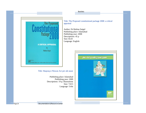oposed Package A CRITICAL APPRAISAL by **Rubina Saigol** Published by:<br>  $\overline{\mathbf{a}'\mathbf{z}}$ <br>
Aurat Publication and Information Service Foundation

Title: Haqooq-e-Niswan Act per aik nazar

Publishing place: Islamabad Publishing year: 2009 Descriptions: 19 p; illustrations Size: 7x9.5 Language: Urdu

Title: The Proposed constitutional package 2008: a critical appraisal

Booklets

Author: Dr Rubina Saigol Publishing place: Islamabad Publishing year: 2008 Descriptions: 45 p Size:  $8x10$ Language: English



Page 24 Documentation & Resource Center